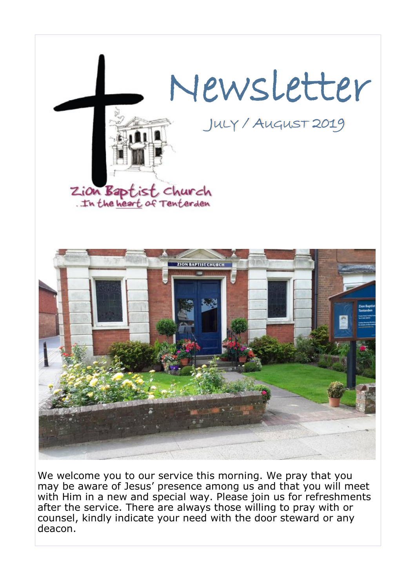

We welcome you to our service this morning. We pray that you may be aware of Jesus' presence among us and that you will meet with Him in a new and special way. Please join us for refreshments after the service. There are always those willing to pray with or counsel, kindly indicate your need with the door steward or any deacon.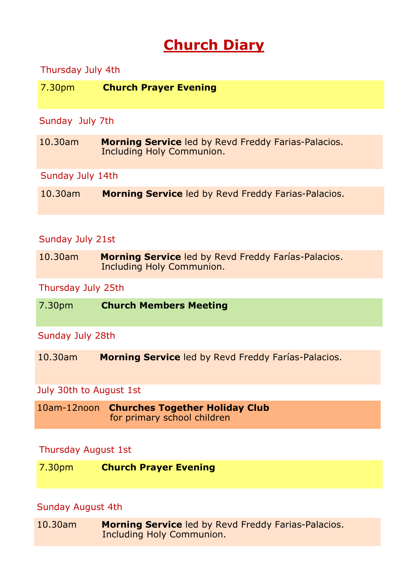# **Church Diary**

#### Thursday July 4th

7.30pm **Church Prayer Evening**

#### Sunday July 7th

10.30am **Morning Service** led by Revd Freddy Farias-Palacios. Including Holy Communion.

#### Sunday July 14th

| <b>Morning Service</b> led by Revd Freddy Farias-Palacios.<br>$10.30$ am |
|--------------------------------------------------------------------------|
|--------------------------------------------------------------------------|

#### Sunday July 21st

| $10.30$ am | Morning Service led by Revd Freddy Farías-Palacios. |
|------------|-----------------------------------------------------|
|            | Including Holy Communion.                           |

#### Thursday July 25th

| 7.30 <sub>pm</sub> | <b>Church Members Meeting</b> |  |
|--------------------|-------------------------------|--|
| Sunday July 28th   |                               |  |

#### 10.30am **Morning Service** led by Revd Freddy Farías-Palacios.

#### July 30th to August 1st

10am-12noon **Churches Together Holiday Club**  for primary school children

#### Thursday August 1st

| 7.30 <sub>pm</sub> | <b>Church Prayer Evening</b> |  |
|--------------------|------------------------------|--|
|--------------------|------------------------------|--|

#### Sunday August 4th

10.30am **Morning Service** led by Revd Freddy Farias-Palacios. Including Holy Communion.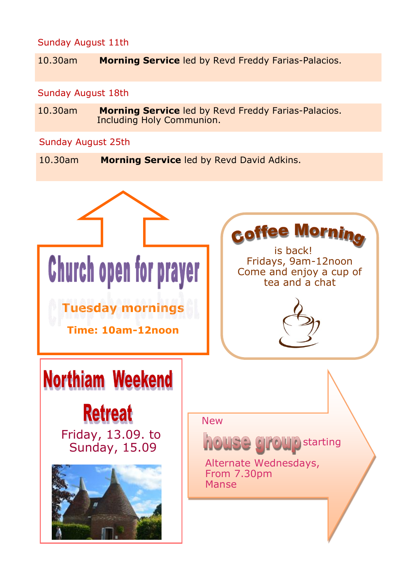#### Sunday August 11th

10.30am **Morning Service** led by Revd Freddy Farias-Palacios.

#### Sunday August 18th

10.30am **Morning Service** led by Revd Freddy Farias-Palacios. Including Holy Communion.

#### Sunday August 25th

10.30am **Morning Service** led by Revd David Adkins.

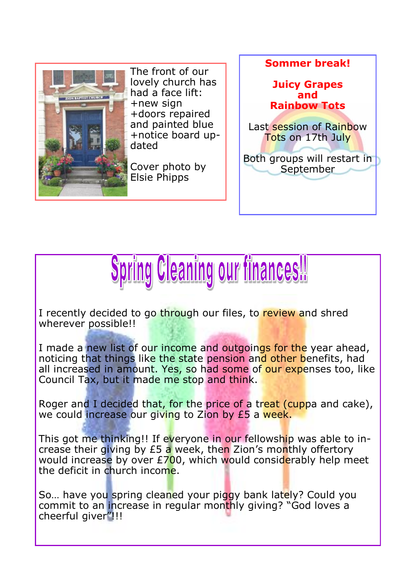

The front of our lovely church has had a face lift: +new sign +doors repaired and painted blue +notice board updated

Cover photo by Elsie Phipps

## **Sommer break! Juicy Grapes and Rainbow Tots** Last session of Rainbow Tots on 17th July Both groups will restart in September



I recently decided to go through our files, to review and shred wherever possible!!

I made a new list of our income and outgoings for the year ahead, noticing that things like the state pension and other benefits, had all increased in amount. Yes, so had some of our expenses too, like Council Tax, but it made me stop and think.

Roger and I decided that, for the price of a treat (cuppa and cake), we could increase our giving to Zion by £5 a week.

This got me thinking!! If everyone in our fellowship was able to increase their giving by  $E5$  a week, then Zion's monthly offertory would increase by over  $E700$ , which would considerably help meet the deficit in church income.

So… have you spring cleaned your piggy bank lately? Could you commit to an increase in regular monthly giving? "God loves a cheerful giver"!!!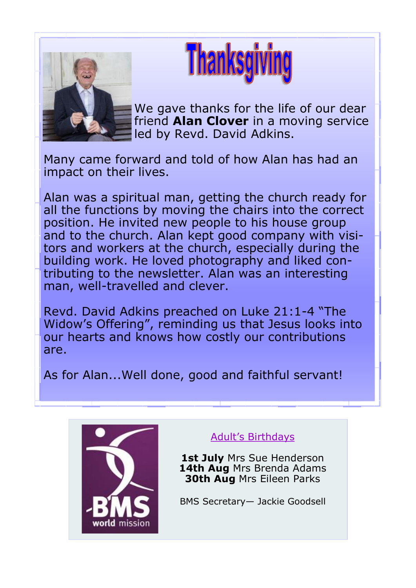



We gave thanks for the life of our dear friend **Alan Clover** in a moving service led by Revd. David Adkins.

Many came forward and told of how Alan has had an impact on their lives.

Alan was a spiritual man, getting the church ready for all the functions by moving the chairs into the correct position. He invited new people to his house group and to the church. Alan kept good company with visitors and workers at the church, especially during the building work. He loved photography and liked contributing to the newsletter. Alan was an interesting man, well-travelled and clever.

Revd. David Adkins preached on Luke 21:1-4 "The Widow's Offering", reminding us that Jesus looks into our hearts and knows how costly our contributions are.

As for Alan...Well done, good and faithful servant!



### Adult's Birthdays

**1st July** Mrs Sue Henderson **14th Aug** Mrs Brenda Adams **30th Aug** Mrs Eileen Parks

BMS Secretary— Jackie Goodsell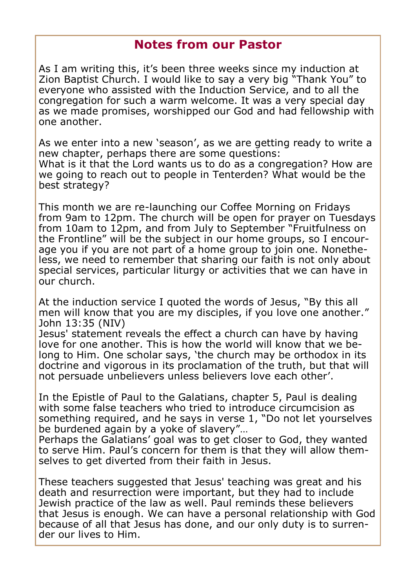## **Notes from our Pastor**

As I am writing this, it's been three weeks since my induction at Zion Baptist Church. I would like to say a very big "Thank You" to everyone who assisted with the Induction Service, and to all the congregation for such a warm welcome. It was a very special day as we made promises, worshipped our God and had fellowship with one another.

As we enter into a new 'season', as we are getting ready to write a new chapter, perhaps there are some questions: What is it that the Lord wants us to do as a congregation? How are we going to reach out to people in Tenterden? What would be the best strategy?

This month we are re-launching our Coffee Morning on Fridays from 9am to 12pm. The church will be open for prayer on Tuesdays from 10am to 12pm, and from July to September "Fruitfulness on the Frontline" will be the subject in our home groups, so I encourage you if you are not part of a home group to join one. Nonetheless, we need to remember that sharing our faith is not only about special services, particular liturgy or activities that we can have in our church.

At the induction service I quoted the words of Jesus, "By this all men will know that you are my disciples, if you love one another." John 13:35 (NIV)

Jesus' statement reveals the effect a church can have by having love for one another. This is how the world will know that we belong to Him. One scholar says, 'the church may be orthodox in its doctrine and vigorous in its proclamation of the truth, but that will not persuade unbelievers unless believers love each other'.

In the Epistle of Paul to the Galatians, chapter 5, Paul is dealing with some false teachers who tried to introduce circumcision as something required, and he says in verse 1, "Do not let yourselves be burdened again by a yoke of slavery"…

Perhaps the Galatians' goal was to get closer to God, they wanted to serve Him. Paul's concern for them is that they will allow themselves to get diverted from their faith in Jesus.

These teachers suggested that Jesus' teaching was great and his death and resurrection were important, but they had to include Jewish practice of the law as well. Paul reminds these believers that Jesus is enough. We can have a personal relationship with God because of all that Jesus has done, and our only duty is to surrender our lives to Him.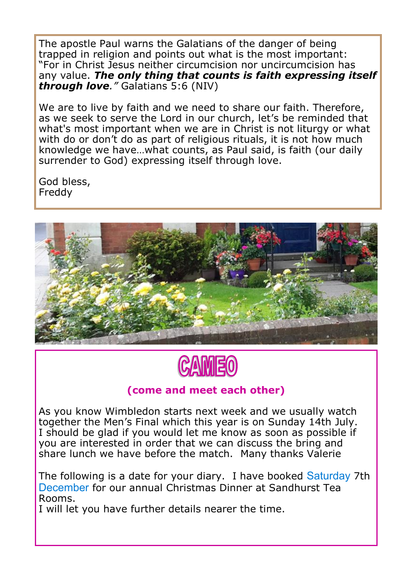The apostle Paul warns the Galatians of the danger of being trapped in religion and points out what is the most important: "For in Christ Jesus neither circumcision nor uncircumcision has any value. *The only thing that counts is faith expressing itself through love."* Galatians 5:6 (NIV)

We are to live by faith and we need to share our faith. Therefore, as we seek to serve the Lord in our church, let's be reminded that what's most important when we are in Christ is not liturgy or what with do or don't do as part of religious rituals, it is not how much knowledge we have…what counts, as Paul said, is faith (our daily surrender to God) expressing itself through love.

God bless, Freddy





### **(come and meet each other)**

As you know Wimbledon starts next week and we usually watch together the Men's Final which this year is on Sunday 14th July. I should be glad if you would let me know as soon as possible if you are interested in order that we can discuss the bring and share lunch we have before the match. Many thanks Valerie

The following is a date for your diary. I have booked Saturday 7th December for our annual Christmas Dinner at Sandhurst Tea Rooms.

I will let you have further details nearer the time.